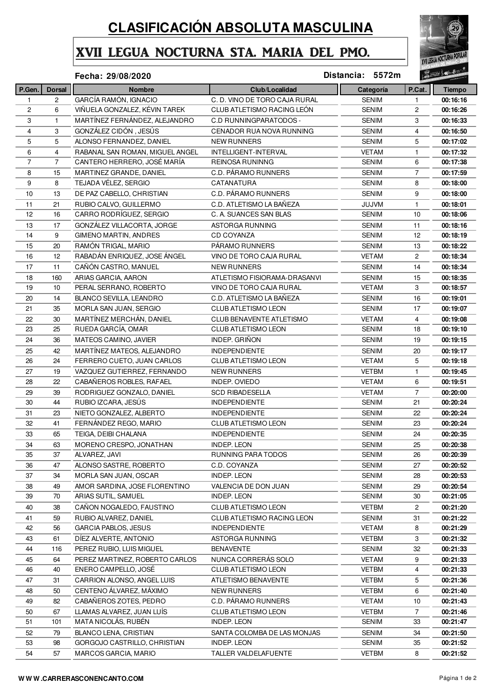## **CLASIFICACIÓN ABSOLUTA MASCULINA**

## XVII LEGUA NOCTURNA STA. MARIA DEL PMO.



## **29/08/2020 Distancia: 5572m**

|              |                | Fecha: 29/08/2020               |                               | Distancia: 5572m |                       | $12 - 0$      |
|--------------|----------------|---------------------------------|-------------------------------|------------------|-----------------------|---------------|
| P.Gen.       | <b>Dorsal</b>  | <b>Nombre</b>                   | Club/Localidad                | Categoría        | P.Cat.                | <b>Tiempo</b> |
| $\mathbf{1}$ | $\overline{c}$ | GARCÍA RAMÓN, IGNACIO           | C. D. VINO DE TORO CAJA RURAL | <b>SENIM</b>     | 1                     | 00:16:16      |
| 2            | 6              | VIÑUELA GONZALEZ, KÉVIN TAREK   | CLUB ATLETISMO RACING LEÓN    | <b>SENIM</b>     | $\mathbf{2}$          | 00:16:26      |
| 3            | 1              | MARTÍNEZ FERNÁNDEZ, ALEJANDRO   | C.D RUNNINGPARATODOS -        | <b>SENIM</b>     | 3                     | 00:16:33      |
| 4            | 3              | GONZÁLEZ CIDÓN, JESÚS           | CENADOR RUA NOVA RUNNING      | <b>SENIM</b>     | 4                     | 00:16:50      |
| 5            | 5              | ALONSO FERNANDEZ, DANIEL        | <b>NEW RUNNERS</b>            | <b>SENIM</b>     | 5                     | 00:17:02      |
| 6            | 4              | RABANAL SAN ROMAN, MIGUEL ANGEL | INTELLIGENT-INTERVAL          | <b>VETAM</b>     | 1                     | 00:17:32      |
| 7            | 7              | CANTERO HERRERO, JOSÉ MARÍA     | REINOSA RUNINNG               | <b>SENIM</b>     | 6                     | 00:17:38      |
| 8            | 15             | MARTINEZ GRANDE, DANIEL         | C.D. PÁRAMO RUNNERS           | <b>SENIM</b>     | $\overline{7}$        | 00:17:59      |
| 9            | 8              | TEJADA VÉLEZ, SERGIO            | CATANATURA                    | <b>SENIM</b>     | 8                     | 00:18:00      |
| 10           | 13             | DE PAZ CABELLO, CHRISTIAN       | C.D. PÁRAMO RUNNERS           | <b>SENIM</b>     | 9                     | 00:18:00      |
| 11           | 21             | RUBIO CALVO, GUILLERMO          | C.D. ATLETISMO LA BAÑEZA      | JUJVM            | $\mathbf{1}$          | 00:18:01      |
| 12           | 16             | CARRO RODRÍGUEZ, SERGIO         | C. A. SUANCES SAN BLAS        | <b>SENIM</b>     | 10                    | 00:18:06      |
| 13           | 17             | GONZÁLEZ VILLACORTA, JORGE      | ASTORGA RUNNING               | <b>SENIM</b>     | 11                    | 00:18:16      |
| 14           | 9              | GIMENO MARTIN, ANDRES           | <b>CD COYANZA</b>             | <b>SENIM</b>     | 12                    | 00:18:19      |
| 15           | 20             | RAMÓN TRIGAL, MARIO             | PÁRAMO RUNNERS                | <b>SENIM</b>     | 13                    | 00:18:22      |
| 16           | 12             | RABADÁN ENRIQUEZ, JOSE ÁNGEL    | VINO DE TORO CAJA RURAL       | <b>VETAM</b>     | 2                     | 00:18:34      |
| 17           | 11             | CAÑÓN CASTRO, MANUEL            | <b>NEW RUNNERS</b>            | <b>SENIM</b>     | 14                    | 00:18:34      |
| 18           | 160            | ARIAS GARCIA, AARON             | ATLETISMO FISIORAMA-DRASANVI  | <b>SENIM</b>     | 15                    | 00:18:35      |
| 19           | 10             | PERAL SERRANO, ROBERTO          | VINO DE TORO CAJA RURAL       | <b>VETAM</b>     | 3                     | 00:18:57      |
| 20           | 14             | BLANCO SEVILLA, LEANDRO         | C.D. ATLETISMO LA BAÑEZA      | <b>SENIM</b>     | 16                    | 00:19:01      |
| 21           | 35             | MORLA SAN JUAN, SERGIO          | CLUB ATLETISMO LEON           | <b>SENIM</b>     | 17                    | 00:19:07      |
| 22           | 30             | MARTÍNEZ MERCHÁN, DANIEL        | CLUB BENAVENTE ATLETISMO      | <b>VETAM</b>     | 4                     | 00:19:08      |
| 23           | 25             | RUEDA GARCÍA, OMAR              | CLUB ATLETISMO LEON           | <b>SENIM</b>     | 18                    | 00:19:10      |
| 24           | 36             | MATEOS CAMINO, JAVIER           | INDEP. GRIÑON                 | <b>SENIM</b>     | 19                    | 00:19:15      |
|              |                |                                 |                               |                  |                       |               |
| 25           | 42             | MARTÍNEZ MATEOS, ALEJANDRO      | <b>INDEPENDIENTE</b>          | <b>SENIM</b>     | 20                    | 00:19:17      |
| 26           | 24             | FERRERO CUETO, JUAN CARLOS      | CLUB ATLETISMO LEON           | <b>VETAM</b>     | 5                     | 00:19:18      |
| 27           | 19             | VAZQUEZ GUTIERREZ, FERNANDO     | <b>NEW RUNNERS</b>            | <b>VETBM</b>     | $\mathbf{1}$          | 00:19:45      |
| 28           | 22             | CABAÑEROS ROBLES, RAFAEL        | INDEP. OVIEDO                 | <b>VETAM</b>     | 6                     | 00:19:51      |
| 29           | 39             | RODRIGUEZ GONZALO, DANIEL       | <b>SCD RIBADESELLA</b>        | <b>VETAM</b>     | $\overline{7}$        | 00:20:00      |
| 30           | 44             | RUBIO IZCARA, JESÚS             | <b>INDEPENDIENTE</b>          | <b>SENIM</b>     | 21                    | 00:20:24      |
| 31           | 23             | NIETO GONZALEZ, ALBERTO         | <b>INDEPENDIENTE</b>          | <b>SENIM</b>     | 22                    | 00:20:24      |
| 32           | 41             | FERNÁNDEZ REGO, MARIO           | CLUB ATLETISMO LEON           | <b>SENIM</b>     | 23                    | 00:20:24      |
| 33           | 65             | TEIGA, DEIBI CHALANA            | <b>INDEPENDIENTE</b>          | <b>SENIM</b>     | 24                    | 00:20:35      |
| 34           | 63             | MORENO CRESPO, JONATHAN         | <b>INDEP. LEON</b>            | <b>SENIM</b>     | 25                    | 00:20:38      |
| 35           | 37             | ALVAREZ, JAVI                   | RUNNING PARA TODOS            | <b>SENIM</b>     | 26                    | 00:20:39      |
| 36           | 47             | ALONSO SASTRE, ROBERTO          | C.D. COYANZA                  | <b>SENIM</b>     | 27                    | 00:20:52      |
| 37           | 34             | MORLA SAN JUAN, OSCAR           | INDEP. LEON                   | <b>SENIM</b>     | 28                    | 00:20:53      |
| 38           | 49             | AMOR SARDINA, JOSE FLORENTINO   | VALENCIA DE DON JUAN          | <b>SENIM</b>     | 29                    | 00:20:54      |
| 39           | 70             | ARIAS SUTIL, SAMUEL             | <b>INDEP. LEON</b>            | <b>SENIM</b>     | 30                    | 00:21:05      |
| 40           | 38             | CAÑON NOGALEDO, FAUSTINO        | <b>CLUB ATLETISMO LEON</b>    | <b>VETBM</b>     | $\mathbf{2}^{\prime}$ | 00:21:20      |
| 41           | 59             | RUBIO ALVAREZ, DANIEL           | CLUB ATLETISMO RACING LEON    | <b>SENIM</b>     | 31                    | 00:21:22      |
| 42           | 56             | <b>GARCIA PABLOS, JESUS</b>     | <b>INDEPENDIENTE</b>          | <b>VETAM</b>     | 8                     | 00:21:29      |
| 43           | 61             | DÍEZ ALVERTE, ANTONIO           | ASTORGA RUNNING               | <b>VETBM</b>     | 3                     | 00:21:32      |
| 44           | 116            | PEREZ RUBIO, LUIS MIGUEL        | BENAVENTE                     | <b>SENIM</b>     | 32                    | 00:21:33      |
| 45           | 64             | PEREZ MARTINEZ, ROBERTO CARLOS  | NUNCA CORRERÁS SOLO           | <b>VETAM</b>     | 9                     | 00:21:33      |
| 46           | 40             | ENERO CAMPELLO, JOSÉ            | CLUB ATLETISMO LEON           | <b>VETBM</b>     | 4                     | 00:21:33      |
| 47           | 31             | CARRION ALONSO, ANGEL LUIS      | ATLETISMO BENAVENTE           | <b>VETBM</b>     | 5                     | 00:21:36      |
| 48           | 50             | CENTENO ÁLVAREZ, MÁXIMO         | <b>NEW RUNNERS</b>            | <b>VETBM</b>     | 6                     | 00:21:40      |
| 49           | 82             | CABAÑEROS ZOTES, PEDRO          | <b>C.D. PÁRAMO RUNNERS</b>    | <b>VETAM</b>     | 10                    | 00:21:43      |
| 50           | 67             | LLAMAS ALVAREZ, JUAN LUÍS       | <b>CLUB ATLETISMO LEON</b>    | <b>VETBM</b>     | $\overline{7}$        | 00:21:46      |
| 51           | 101            | MATA NICOLÁS, RUBÉN             | <b>INDEP. LEON</b>            | <b>SENIM</b>     | 33                    | 00:21:47      |
| 52           | 79             | BLANCO LENA, CRISTIAN           | SANTA COLOMBA DE LAS MONJAS   | <b>SENIM</b>     | 34                    | 00:21:50      |
| 53           | 98             | GORGOJO CASTRILLO, CHRISTIAN    | INDEP. LEON                   | <b>SENIM</b>     | 35                    | 00:21:52      |
| 54           | 57             | MARCOS GARCIA, MARIO            | TALLER VALDELAFUENTE          | <b>VETBM</b>     | 8                     | 00:21:52      |
|              |                |                                 |                               |                  |                       |               |